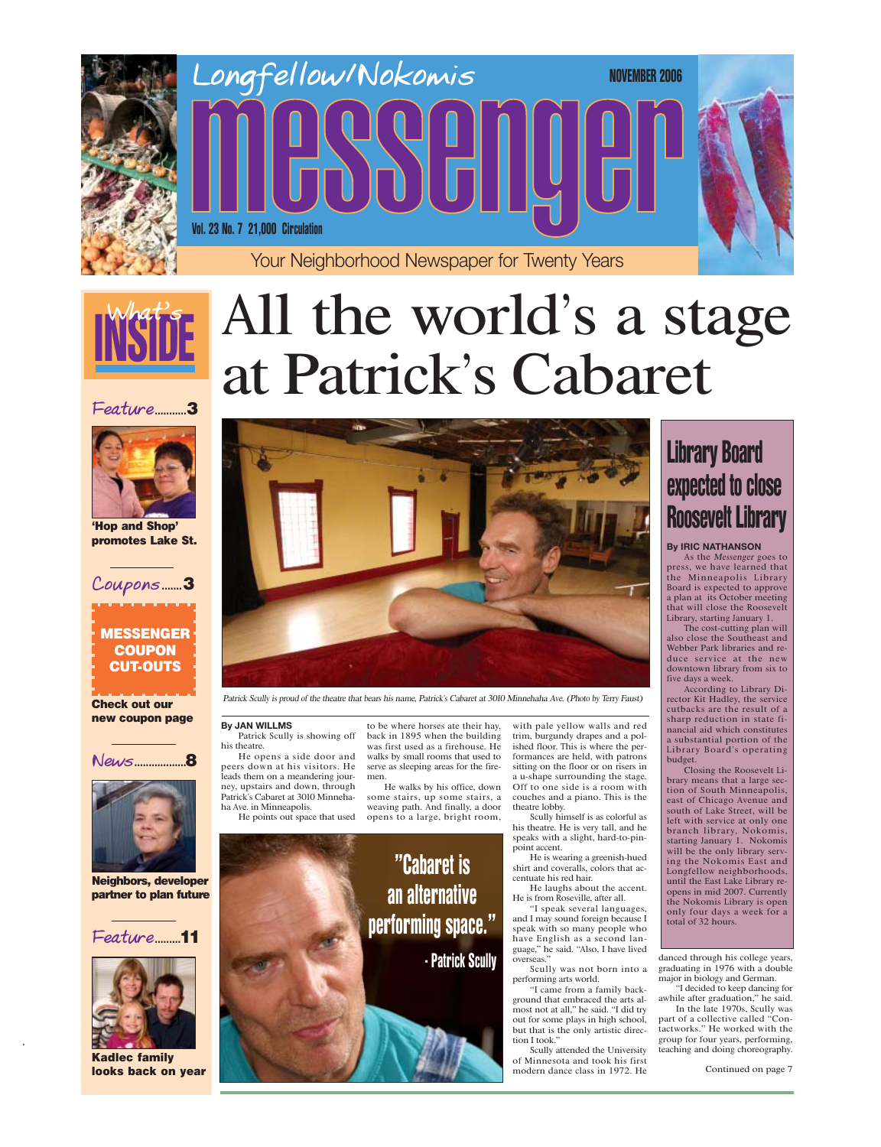>

## **Feature**...........3











'Hop and Shop' promotes Lake St.

#### Check out our new coupon page

Neighbors, developer partner to plan future

Kadlec family looks back on year

#### **By JAN WILLMS**

Patrick Scully is showing off his theatre.

He opens a side door and peers down at his visitors. He leads them on a meandering journey, upstairs and down, through Patrick's Cabaret at 3010 Minnehaha Ave. in Minneapolis.

He points out spac<sup>e</sup> that used

He is wearing a greenish-hued shirt and coveralls,

to be wher<sup>e</sup> horses at<sup>e</sup> their hay, back in 1895 when the building <sup>w</sup>as first used as a firehouse. He <sup>w</sup>alks by small rooms that used to serv<sup>e</sup> as sleeping areas for the firemen.

He <sup>w</sup>alks by his office, down some stairs, up some stairs, a weaving path. And finally, a door opens to a large, bright room,

with pale yellow <sup>w</sup>alls and red trim, burgundy drapes and a polished floor. This is wher<sup>e</sup> the performances ar<sup>e</sup> held, with patrons sitting on the floor or on risers in a u-shape surrounding the stage. Off to one side is a room with couches and a piano. This is the theatre lobby.

# Library Board expected to close **Roosevelt Library**

Scully himself is as colorful as his theatre. He is very tall, and he speaks with a slight, hard-to-pinpoint accent.

centuat<sup>e</sup> his red hair.

He laughs about the accent. He is from Roseville, after all.

"I speak several languages, and I may sound foreign becaus<sup>e</sup> I speak with so many people who hav<sup>e</sup> English as a second language," he said. "Also, I hav<sup>e</sup> lived overseas."

Scully <sup>w</sup>as not born into a performing arts world.



"I came from a family background that embraced the arts almost not at all," he said. "I did try out for some plays in high school, but that is the only artistic direction I took."

**"Cabaret is** an alternative performing space." - Patrick Scully

Scully attended the University of Minnesota and took his first modern danc<sup>e</sup> class in 1972. He

danced through his colleg<sup>e</sup> years, graduating in 1976 with a double major in biology and German.

"I decided to keep dancing for awhile after graduation," he said. In the lat<sup>e</sup> 1970s, Scully <sup>w</sup>as part of a collectiv<sup>e</sup> called "Contactworks." He worked with the group for four years, performing, teaching and doing choreography.

Continued on page 7

#### **By IRIC NATHANSON**

As the <sup>M</sup>essenge<sup>r</sup> goes to press, we hav<sup>e</sup> learned that the Minneapolis Library Board is <sup>e</sup>xpected to approv<sup>e</sup> a plan at its October meeting that will clos<sup>e</sup> the Roosevelt Library, starting January 1.

The cost-cutting plan will also clos<sup>e</sup> the Southeast and Webber Park libraries and reduce service at the new downtown library from six to fiv<sup>e</sup> days a week.

According to Library Director Kit Hadley, the servic<sup>e</sup> cutbacks ar<sup>e</sup> the result of a sharp reduction in stat<sup>e</sup> financial aid which constitutes a substantial portion of the Library Board's operating budget.

Closing the Roosevelt Library means that a larg<sup>e</sup> section of South Minneapolis, <sup>e</sup>ast of Chicago Avenue and south of Lak<sup>e</sup> Street, will be left with servic<sup>e</sup> at only one branch library, Nokomis, starting January 1. Nokomis will be the only library serving the Nokomis East and Longfellow neighborhoods, until the East Lak<sup>e</sup> Library reopens in mid 2007. Currently the Nokomis Library is open only four days a week for a total of 32 hours.



**Feature**.........11



# All the world's a stage at Patrick's Cabaret

## MESSENGER **COUPON** CUT-OUTS

Patrick S<sup>c</sup>ully i<sup>s</sup> proud <sup>o</sup>f <sup>t</sup>h<sup>e</sup> <sup>t</sup>heatr<sup>e</sup> <sup>t</sup>ha<sup>t</sup> bear<sup>s</sup> hi<sup>s</sup> <sup>n</sup>ame, Patrick'<sup>s</sup> Cabare<sup>t</sup> <sup>a</sup><sup>t</sup> 3010 Minnehah<sup>a</sup> Av<sup>e</sup>. (Phot<sup>o</sup> by Terry Faus<sup>t</sup>)